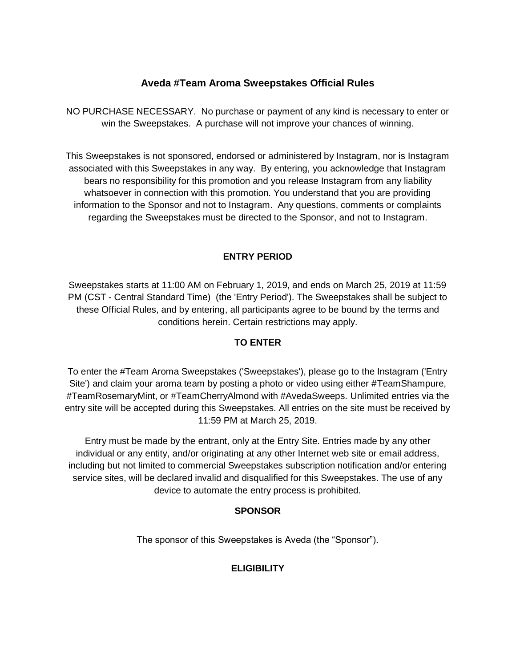# **Aveda #Team Aroma Sweepstakes Official Rules**

NO PURCHASE NECESSARY. No purchase or payment of any kind is necessary to enter or win the Sweepstakes. A purchase will not improve your chances of winning.

This Sweepstakes is not sponsored, endorsed or administered by Instagram, nor is Instagram associated with this Sweepstakes in any way. By entering, you acknowledge that Instagram bears no responsibility for this promotion and you release Instagram from any liability whatsoever in connection with this promotion. You understand that you are providing information to the Sponsor and not to Instagram. Any questions, comments or complaints regarding the Sweepstakes must be directed to the Sponsor, and not to Instagram.

### **ENTRY PERIOD**

Sweepstakes starts at 11:00 AM on February 1, 2019, and ends on March 25, 2019 at 11:59 PM (CST - Central Standard Time) (the 'Entry Period'). The Sweepstakes shall be subject to these Official Rules, and by entering, all participants agree to be bound by the terms and conditions herein. Certain restrictions may apply.

## **TO ENTER**

To enter the #Team Aroma Sweepstakes ('Sweepstakes'), please go to the Instagram ('Entry Site') and claim your aroma team by posting a photo or video using either #TeamShampure, #TeamRosemaryMint, or #TeamCherryAlmond with #AvedaSweeps. Unlimited entries via the entry site will be accepted during this Sweepstakes. All entries on the site must be received by 11:59 PM at March 25, 2019.

Entry must be made by the entrant, only at the Entry Site. Entries made by any other individual or any entity, and/or originating at any other Internet web site or email address, including but not limited to commercial Sweepstakes subscription notification and/or entering service sites, will be declared invalid and disqualified for this Sweepstakes. The use of any device to automate the entry process is prohibited.

### **SPONSOR**

The sponsor of this Sweepstakes is Aveda (the "Sponsor").

## **ELIGIBILITY**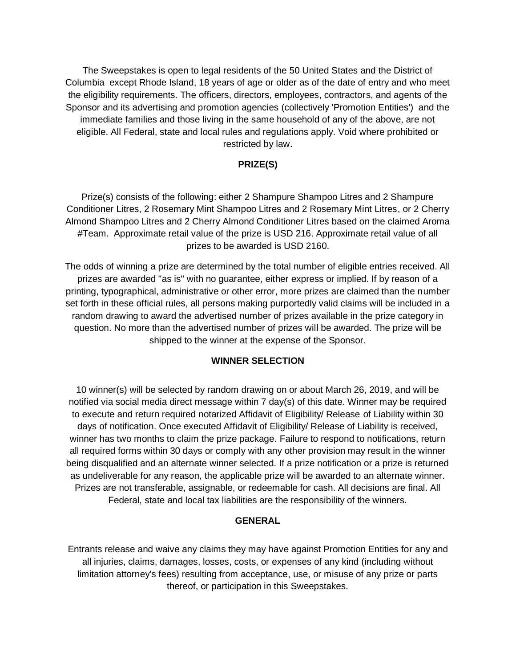The Sweepstakes is open to legal residents of the 50 United States and the District of Columbia except Rhode Island, 18 years of age or older as of the date of entry and who meet the eligibility requirements. The officers, directors, employees, contractors, and agents of the Sponsor and its advertising and promotion agencies (collectively 'Promotion Entities') and the immediate families and those living in the same household of any of the above, are not eligible. All Federal, state and local rules and regulations apply. Void where prohibited or restricted by law.

#### **PRIZE(S)**

Prize(s) consists of the following: either 2 Shampure Shampoo Litres and 2 Shampure Conditioner Litres, 2 Rosemary Mint Shampoo Litres and 2 Rosemary Mint Litres, or 2 Cherry Almond Shampoo Litres and 2 Cherry Almond Conditioner Litres based on the claimed Aroma #Team. Approximate retail value of the prize is USD 216. Approximate retail value of all prizes to be awarded is USD 2160.

The odds of winning a prize are determined by the total number of eligible entries received. All prizes are awarded "as is" with no guarantee, either express or implied. If by reason of a printing, typographical, administrative or other error, more prizes are claimed than the number set forth in these official rules, all persons making purportedly valid claims will be included in a random drawing to award the advertised number of prizes available in the prize category in question. No more than the advertised number of prizes will be awarded. The prize will be shipped to the winner at the expense of the Sponsor.

#### **WINNER SELECTION**

10 winner(s) will be selected by random drawing on or about March 26, 2019, and will be notified via social media direct message within 7 day(s) of this date. Winner may be required to execute and return required notarized Affidavit of Eligibility/ Release of Liability within 30 days of notification. Once executed Affidavit of Eligibility/ Release of Liability is received, winner has two months to claim the prize package. Failure to respond to notifications, return all required forms within 30 days or comply with any other provision may result in the winner being disqualified and an alternate winner selected. If a prize notification or a prize is returned as undeliverable for any reason, the applicable prize will be awarded to an alternate winner. Prizes are not transferable, assignable, or redeemable for cash. All decisions are final. All Federal, state and local tax liabilities are the responsibility of the winners.

#### **GENERAL**

Entrants release and waive any claims they may have against Promotion Entities for any and all injuries, claims, damages, losses, costs, or expenses of any kind (including without limitation attorney's fees) resulting from acceptance, use, or misuse of any prize or parts thereof, or participation in this Sweepstakes.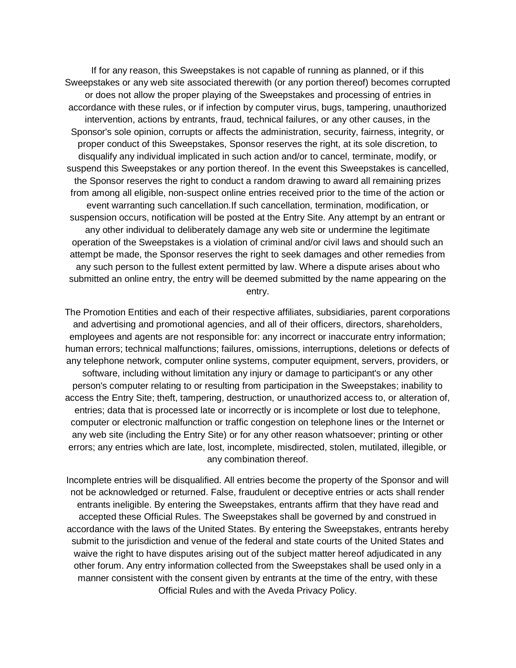If for any reason, this Sweepstakes is not capable of running as planned, or if this Sweepstakes or any web site associated therewith (or any portion thereof) becomes corrupted or does not allow the proper playing of the Sweepstakes and processing of entries in accordance with these rules, or if infection by computer virus, bugs, tampering, unauthorized intervention, actions by entrants, fraud, technical failures, or any other causes, in the Sponsor's sole opinion, corrupts or affects the administration, security, fairness, integrity, or proper conduct of this Sweepstakes, Sponsor reserves the right, at its sole discretion, to disqualify any individual implicated in such action and/or to cancel, terminate, modify, or suspend this Sweepstakes or any portion thereof. In the event this Sweepstakes is cancelled, the Sponsor reserves the right to conduct a random drawing to award all remaining prizes from among all eligible, non-suspect online entries received prior to the time of the action or event warranting such cancellation.If such cancellation, termination, modification, or suspension occurs, notification will be posted at the Entry Site. Any attempt by an entrant or any other individual to deliberately damage any web site or undermine the legitimate operation of the Sweepstakes is a violation of criminal and/or civil laws and should such an attempt be made, the Sponsor reserves the right to seek damages and other remedies from any such person to the fullest extent permitted by law. Where a dispute arises about who submitted an online entry, the entry will be deemed submitted by the name appearing on the entry.

The Promotion Entities and each of their respective affiliates, subsidiaries, parent corporations and advertising and promotional agencies, and all of their officers, directors, shareholders, employees and agents are not responsible for: any incorrect or inaccurate entry information; human errors; technical malfunctions; failures, omissions, interruptions, deletions or defects of any telephone network, computer online systems, computer equipment, servers, providers, or software, including without limitation any injury or damage to participant's or any other person's computer relating to or resulting from participation in the Sweepstakes; inability to access the Entry Site; theft, tampering, destruction, or unauthorized access to, or alteration of, entries; data that is processed late or incorrectly or is incomplete or lost due to telephone, computer or electronic malfunction or traffic congestion on telephone lines or the Internet or any web site (including the Entry Site) or for any other reason whatsoever; printing or other errors; any entries which are late, lost, incomplete, misdirected, stolen, mutilated, illegible, or any combination thereof.

Incomplete entries will be disqualified. All entries become the property of the Sponsor and will not be acknowledged or returned. False, fraudulent or deceptive entries or acts shall render entrants ineligible. By entering the Sweepstakes, entrants affirm that they have read and accepted these Official Rules. The Sweepstakes shall be governed by and construed in accordance with the laws of the United States. By entering the Sweepstakes, entrants hereby submit to the jurisdiction and venue of the federal and state courts of the United States and waive the right to have disputes arising out of the subject matter hereof adjudicated in any other forum. Any entry information collected from the Sweepstakes shall be used only in a manner consistent with the consent given by entrants at the time of the entry, with these Official Rules and with the Aveda Privacy Policy.